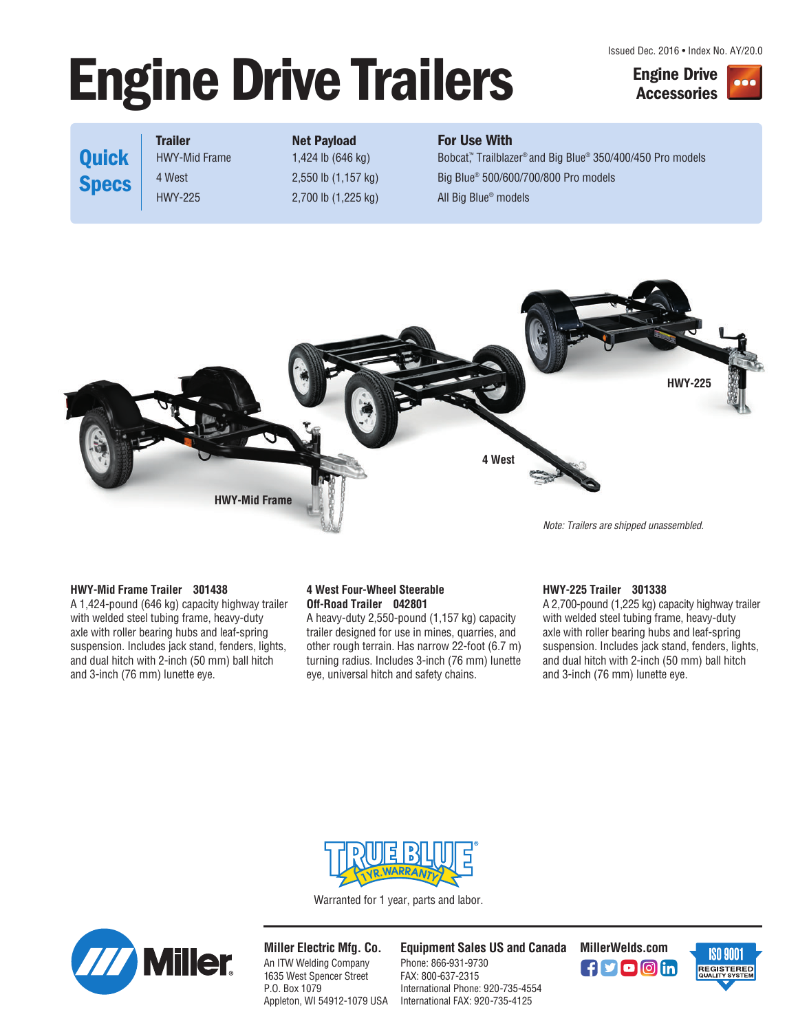Issued Dec. 2016 • Index No. AY/20.0

# **Engine Drive Trailers Engine Drive**





## **Quick Specs**

## **Trailer Net Payload For Use With**

HWY-Mid Frame 1,424 lb (646 kg) Bobcat,™ Trailblazer® and Big Blue® 350/400/450 Pro models 4 West 2,550 lb (1,157 kg) Big Blue® 500/600/700/800 Pro models HWY-225 2,700 lb (1,225 kg) All Big Blue® models



### **HWY-Mid Frame Trailer 301438**

A 1,424-pound (646 kg) capacity highway trailer with welded steel tubing frame, heavy-duty axle with roller bearing hubs and leaf-spring suspension. Includes jack stand, fenders, lights, and dual hitch with 2-inch (50 mm) ball hitch and 3-inch (76 mm) lunette eye.

#### **4 West Four-Wheel Steerable Off-Road Trailer 042801**

A heavy-duty 2,550-pound (1,157 kg) capacity trailer designed for use in mines, quarries, and other rough terrain. Has narrow 22-foot (6.7 m) turning radius. Includes 3-inch (76 mm) lunette eye, universal hitch and safety chains.

#### **HWY-225 Trailer 301338**

A 2,700-pound (1,225 kg) capacity highway trailer with welded steel tubing frame, heavy-duty axle with roller bearing hubs and leaf-spring suspension. Includes jack stand, fenders, lights, and dual hitch with 2-inch (50 mm) ball hitch and 3-inch (76 mm) lunette eye.



Warranted for 1 year, parts and labor.



**Miller Electric Mfg. Co.** An ITW Welding Company 1635 West Spencer Street P.O. Box 1079 Appleton, WI 54912-1079 USA **Equipment Sales US and Canada MillerWelds.com**

Phone: 866-931-9730 FAX: 800-637-2315 International Phone: 920-735-4554 International FAX: 920-735-4125